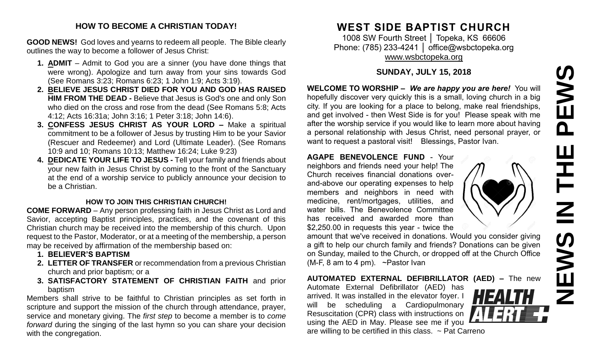# **NEWS IN THE PEWS**PEWS HH<br>N<br>N EWS  $\overline{z}$

#### **HOW TO BECOME A CHRISTIAN TODAY!**

**GOOD NEWS!** God loves and yearns to redeem all people. The Bible clearly outlines the way to become a follower of Jesus Christ:

- **1. ADMIT** Admit to God you are a sinner (you have done things that were wrong). Apologize and turn away from your sins towards God (See Romans 3:23; Romans 6:23; 1 John 1:9; Acts 3:19).
- **2. BELIEVE JESUS CHRIST DIED FOR YOU AND GOD HAS RAISED HIM FROM THE DEAD -** Believe that Jesus is God's one and only Son who died on the cross and rose from the dead (See Romans 5:8; Acts 4:12; Acts 16:31a; John 3:16; 1 Peter 3:18; John 14:6).
- **3. CONFESS JESUS CHRIST AS YOUR LORD –** Make a spiritual commitment to be a follower of Jesus by trusting Him to be your Savior (Rescuer and Redeemer) and Lord (Ultimate Leader). (See Romans 10:9 and 10; Romans 10:13; Matthew 16:24; Luke 9:23)
- **4. DEDICATE YOUR LIFE TO JESUS -** Tell your family and friends about your new faith in Jesus Christ by coming to the front of the Sanctuary at the end of a worship service to publicly announce your decision to be a Christian.

#### **HOW TO JOIN THIS CHRISTIAN CHURCH!**

**COME FORWARD** – Any person professing faith in Jesus Christ as Lord and Savior, accepting Baptist principles, practices, and the covenant of this Christian church may be received into the membership of this church. Upon request to the Pastor, Moderator, or at a meeting of the membership, a person may be received by affirmation of the membership based on:

- **1. BELIEVER'S BAPTISM**
- **2. LETTER OF TRANSFER** or recommendation from a previous Christian church and prior baptism; or a
- **3. SATISFACTORY STATEMENT OF CHRISTIAN FAITH** and prior baptism

Members shall strive to be faithful to Christian principles as set forth in scripture and support the mission of the church through attendance, prayer, service and monetary giving. The *first step* to become a member is to *come forward* during the singing of the last hymn so you can share your decision with the congregation.

# **WEST SIDE BAPTIST CHURCH**

1008 SW Fourth Street │ Topeka, KS 66606 Phone: (785) 233-4241 | [office@wsbctopeka.org](mailto:office@wsbctopeka.org) [www.wsbctopeka.org](http://www.wsbctopeka.org/)

#### **SUNDAY, JULY 15, 2018**

**WELCOME TO WORSHIP –** *We are happy you are here!* You will hopefully discover very quickly this is a small, loving church in a big city. If you are looking for a place to belong, make real friendships, and get involved - then West Side is for you! Please speak with me after the worship service if you would like to learn more about having a personal relationship with Jesus Christ, need personal prayer, or want to request a pastoral visit! Blessings, Pastor Ivan.

#### **AGAPE BENEVOLENCE FUND** - Your

neighbors and friends need your help! The Church receives financial donations overand-above our operating expenses to help members and neighbors in need with medicine, rent/mortgages, utilities, and water bills. The Benevolence Committee has received and awarded more than \$2,250.00 in requests this year - twice the



amount that we've received in donations. Would you consider giving a gift to help our church family and friends? Donations can be given on Sunday, mailed to the Church, or dropped off at the Church Office (M-F, 8 am to 4 pm). ~Pastor Ivan

**AUTOMATED EXTERNAL DEFIBRILLATOR (AED) –** The new

Automate External Defibrillator (AED) has arrived. It was installed in the elevator foyer. I will be scheduling a Cardiopulmonary Resuscitation (CPR) class with instructions on using the AED in May. Please see me if you are willing to be certified in this class.  $\sim$  Pat Carreno

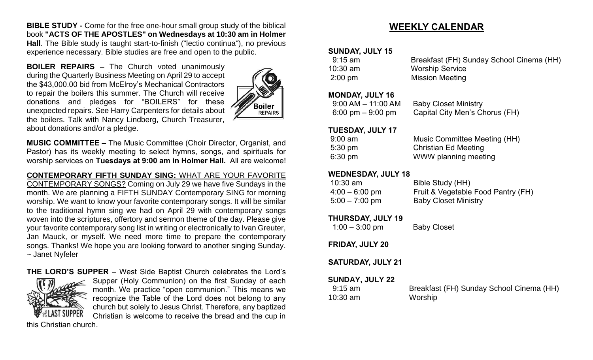**BIBLE STUDY -** Come for the free one-hour small group study of the biblical book **"ACTS OF THE APOSTLES" on Wednesdays at 10:30 am in Holmer Hall**. The Bible study is taught start-to-finish ("lectio continua"), no previous experience necessary. Bible studies are free and open to the public.

**BOILER REPAIRS –** The Church voted unanimously during the Quarterly Business Meeting on April 29 to accept the \$43,000.00 bid from McElroy's Mechanical Contractors to repair the boilers this summer. The Church will receive donations and pledges for "BOILERS" for these unexpected repairs. See Harry Carpenters for details about the boilers. Talk with Nancy Lindberg, Church Treasurer, about donations and/or a pledge.



**MUSIC COMMITTEE –** The Music Committee (Choir Director, Organist, and Pastor) has its weekly meeting to select hymns, songs, and spirituals for worship services on **Tuesdays at 9:00 am in Holmer Hall.** All are welcome!

#### **CONTEMPORARY FIFTH SUNDAY SING:** WHAT ARE YOUR FAVORITE

CONTEMPORARY SONGS? Coming on July 29 we have five Sundays in the month. We are planning a FIFTH SUNDAY Contemporary SING for morning worship. We want to know your favorite contemporary songs. It will be similar to the traditional hymn sing we had on April 29 with contemporary songs woven into the scriptures, offertory and sermon theme of the day. Please give your favorite contemporary song list in writing or electronically to Ivan Greuter, Jan Mauck, or myself. We need more time to prepare the contemporary songs. Thanks! We hope you are looking forward to another singing Sunday. ~ Janet Nyfeler

# **THE LORD'S SUPPER** – West Side Baptist Church celebrates the Lord's Supper (Holy Communion) on the first Sunday of each

month. We practice "open communion." This means we recognize the Table of the Lord does not belong to any church but solely to Jesus Christ. Therefore, any baptized Christian is welcome to receive the bread and the cup in

this Christian church.

## **WEEKLY CALENDAR**

#### **SUNDAY, JULY 15**

| 9:15 am           | Breakfast (FH) Sunday School Cinema (HH) |
|-------------------|------------------------------------------|
| $10:30$ am        | <b>Worship Service</b>                   |
| $2:00 \text{ pm}$ | <b>Mission Meeting</b>                   |

#### **MONDAY, JULY 16**

| $9:00$ AM $-$ 11:00 AM | <b>Baby Closet Ministry</b>    |
|------------------------|--------------------------------|
| 6:00 pm $-9:00$ pm     | Capital City Men's Chorus (FH) |

#### **TUESDAY, JULY 17**

| $9:00$ am         | Music Committee Meeting (HH) |
|-------------------|------------------------------|
| $5:30 \text{ pm}$ | <b>Christian Ed Meeting</b>  |
| $6:30 \text{ pm}$ | WWW planning meeting         |

#### **WEDNESDAY, JULY 18**

| $10:30$ am       | Bible Study (HH)                   |
|------------------|------------------------------------|
| $4:00 - 6:00$ pm | Fruit & Vegetable Food Pantry (FH) |
| $5:00 - 7:00$ pm | <b>Baby Closet Ministry</b>        |

#### **THURSDAY, JULY 19**

1:00 – 3:00 pm Baby Closet

#### **FRIDAY, JULY 20**

#### **SATURDAY, JULY 21**

#### **SUNDAY, JULY 22**

| $9:15$ am  | Breakfast (FH) Sunday School Cinema (HH) |
|------------|------------------------------------------|
| $10:30$ am | Worship                                  |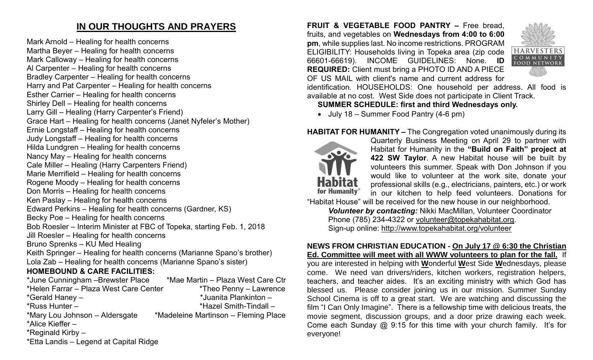## **IN OUR THOUGHTS AND PRAYERS**

Mark Arnold – Healing for health concerns Martha Beyer – Healing for health concerns Mark Calloway – Healing for health concerns Al Carpenter – Healing for health concerns Bradley Carpenter – Healing for health concerns Harry and Pat Carpenter – Healing for health concerns Esther Carrier – Healing for health concerns Shirley Dell – Healing for health concerns Larry Gill – Healing (Harry Carpenter's Friend) Grace Hart – Healing for health concerns (Janet Nyfeler's Mother) Ernie Longstaff – Healing for health concerns Judy Longstaff – Healing for health concerns Hilda Lundgren – Healing for health concerns Nancy May – Healing for health concerns Cale Miller – Healing (Harry Carpenters Friend) Marie Merrifield – Healing for health concerns Rogene Moody – Healing for health concerns Don Morris – Healing for health concerns Ken Paslay – Healing for health concerns Edward Perkins – Healing for health concerns (Gardner, KS) Becky Poe – Healing for health concerns Bob Roesler – Interim Minister at FBC of Topeka, starting Feb. 1, 2018 Jill Roesler – Healing for health concerns Bruno Sprenks – KU Med Healing Keith Springer – Healing for health concerns (Marianne Spano's brother) Lola Zab – Healing for health concerns (Marianne Spano's sister) **HOMEBOUND & CARE FACILITIES:**

| *June Cunningham - Brewster Place      | *Mae Martin - Plaza West Care Ctr    |
|----------------------------------------|--------------------------------------|
| *Helen Farrar - Plaza West Care Center | *Theo Penny – Lawrence               |
| *Gerald Haney -                        | *Juanita Plankinton -                |
| $*$ Russ Hunter –                      | *Hazel Smith-Tindall -               |
| *Mary Lou Johnson – Aldersgate         | *Madeleine Martinson – Fleming Place |
| *Alice Kieffer -                       |                                      |
| *Reginald Kirby $-$                    |                                      |
| *Etta Landis - Legend at Capital Ridge |                                      |

**FRUIT & VEGETABLE FOOD PANTRY –** Free bread, fruits, and vegetables on **Wednesdays from 4:00 to 6:00 pm**, while supplies last. No income restrictions. PROGRAM ELIGIBILITY: Households living in Topeka area (zip code 66601-66619). INCOME GUIDELINES: None. **ID REQUIRED:** Client must bring a PHOTO ID AND A PIECE OF US MAIL with client's name and current address for



identification. HOUSEHOLDS: One household per address. All food is available at no cost. West Side does not participate in Client Track.

#### **SUMMER SCHEDULE: first and third Wednesdays only.**

• July 18 – Summer Food Pantry (4-6 pm)

#### **HABITAT FOR HUMANITY –** The Congregation voted unanimously during its



Quarterly Business Meeting on April 29 to partner with Habitat for Humanity in the **"Build on Faith" project at 422 SW Taylor**. A new Habitat house will be built by volunteers this summer. Speak with Don Johnson if you would like to volunteer at the work site, donate your professional skills (e.g., electricians, painters, etc.) or work in our kitchen to help feed volunteers. Donations for

"Habitat House" will be received for the new house in our neighborhood. *Volunteer by contacting:* Nikki MacMillan, Volunteer Coordinator

Phone (785) 234-4322 or [volunteer@topekahabitat.org.](mailto:volunteer@topekahabitat.org) Sign-up online:<http://www.topekahabitat.org/volunteer>

#### **NEWS FROM CHRISTIAN EDUCATION - On July 17 @ 6:30 the Christian Ed. Committee will meet with all WWW volunteers to plan for the fall.** If you are interested in helping with **W**onderful **W**est Side **W**ednesdays, please come. We need van drivers/riders, kitchen workers, registration helpers, teachers, and teacher aides. It's an exciting ministry with which God has blessed us. Please consider joining us in our mission. Summer Sunday School Cinema is off to a great start. We are watching and discussing the film "I Can Only Imagine". There is a fellowship time with delicious treats, the movie segment, discussion groups, and a door prize drawing each week. Come each Sunday @ 9:15 for this time with your church family. It's for everyone!